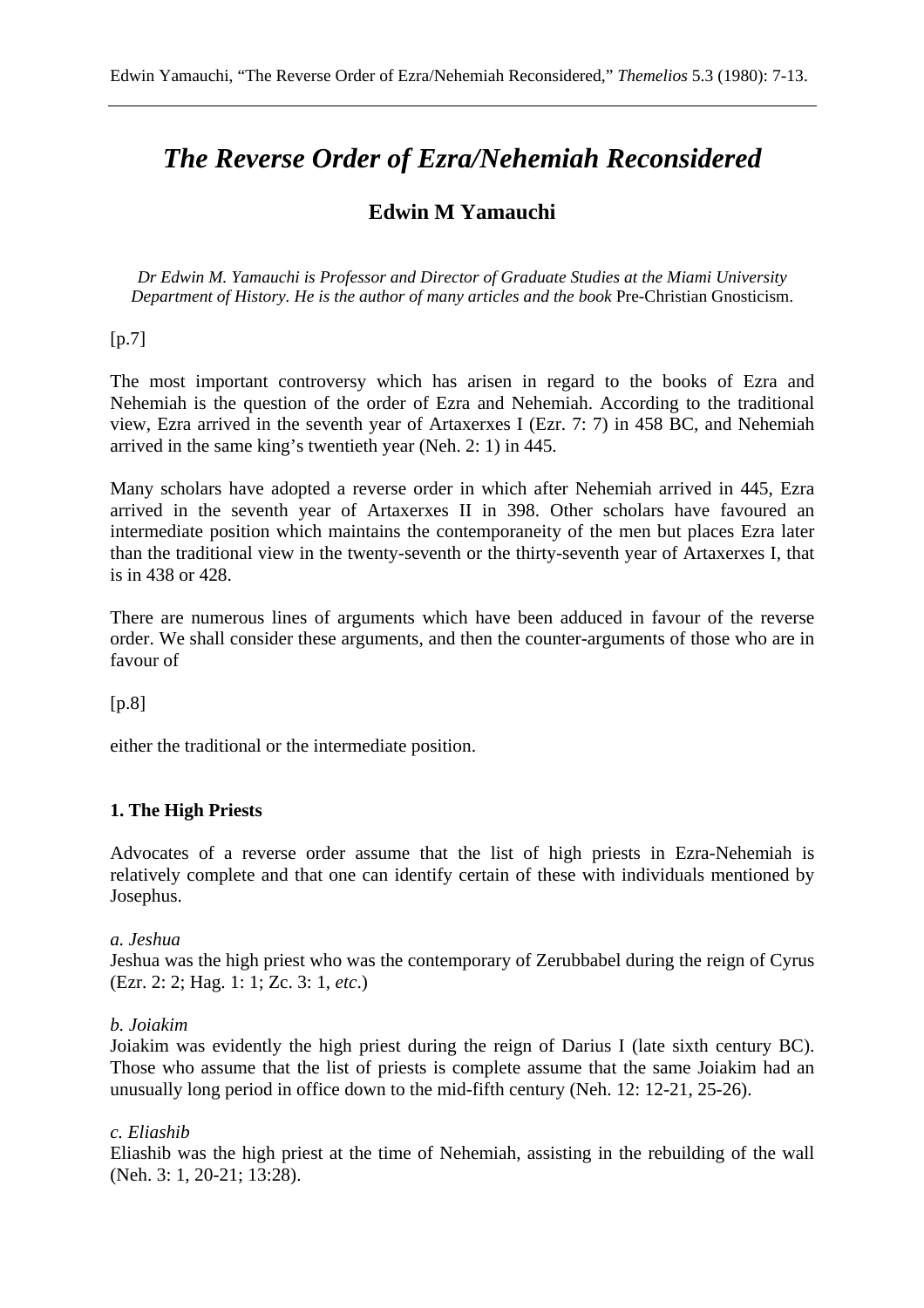# *The Reverse Order of Ezra/Nehemiah Reconsidered*

# **Edwin M Yamauchi**

*Dr Edwin M. Yamauchi is Professor and Director of Graduate Studies at the Miami University Department of History. He is the author of many articles and the book* Pre-Christian Gnosticism.

 $[p.7]$ 

The most important controversy which has arisen in regard to the books of Ezra and Nehemiah is the question of the order of Ezra and Nehemiah. According to the traditional view, Ezra arrived in the seventh year of Artaxerxes I (Ezr. 7: 7) in 458 BC, and Nehemiah arrived in the same king's twentieth year (Neh. 2: 1) in 445.

Many scholars have adopted a reverse order in which after Nehemiah arrived in 445, Ezra arrived in the seventh year of Artaxerxes II in 398. Other scholars have favoured an intermediate position which maintains the contemporaneity of the men but places Ezra later than the traditional view in the twenty-seventh or the thirty-seventh year of Artaxerxes I, that is in 438 or 428.

There are numerous lines of arguments which have been adduced in favour of the reverse order. We shall consider these arguments, and then the counter-arguments of those who are in favour of

[p.8]

either the traditional or the intermediate position.

## **1. The High Priests**

Advocates of a reverse order assume that the list of high priests in Ezra-Nehemiah is relatively complete and that one can identify certain of these with individuals mentioned by Josephus.

#### *a. Jeshua*

Jeshua was the high priest who was the contemporary of Zerubbabel during the reign of Cyrus (Ezr. 2: 2; Hag. 1: 1; Zc. 3: 1, *etc*.)

#### *b. Joiakim*

Joiakim was evidently the high priest during the reign of Darius I (late sixth century BC). Those who assume that the list of priests is complete assume that the same Joiakim had an unusually long period in office down to the mid-fifth century (Neh. 12: 12-21, 25-26).

#### *c. Eliashib*

Eliashib was the high priest at the time of Nehemiah, assisting in the rebuilding of the wall (Neh. 3: 1, 20-21; 13:28).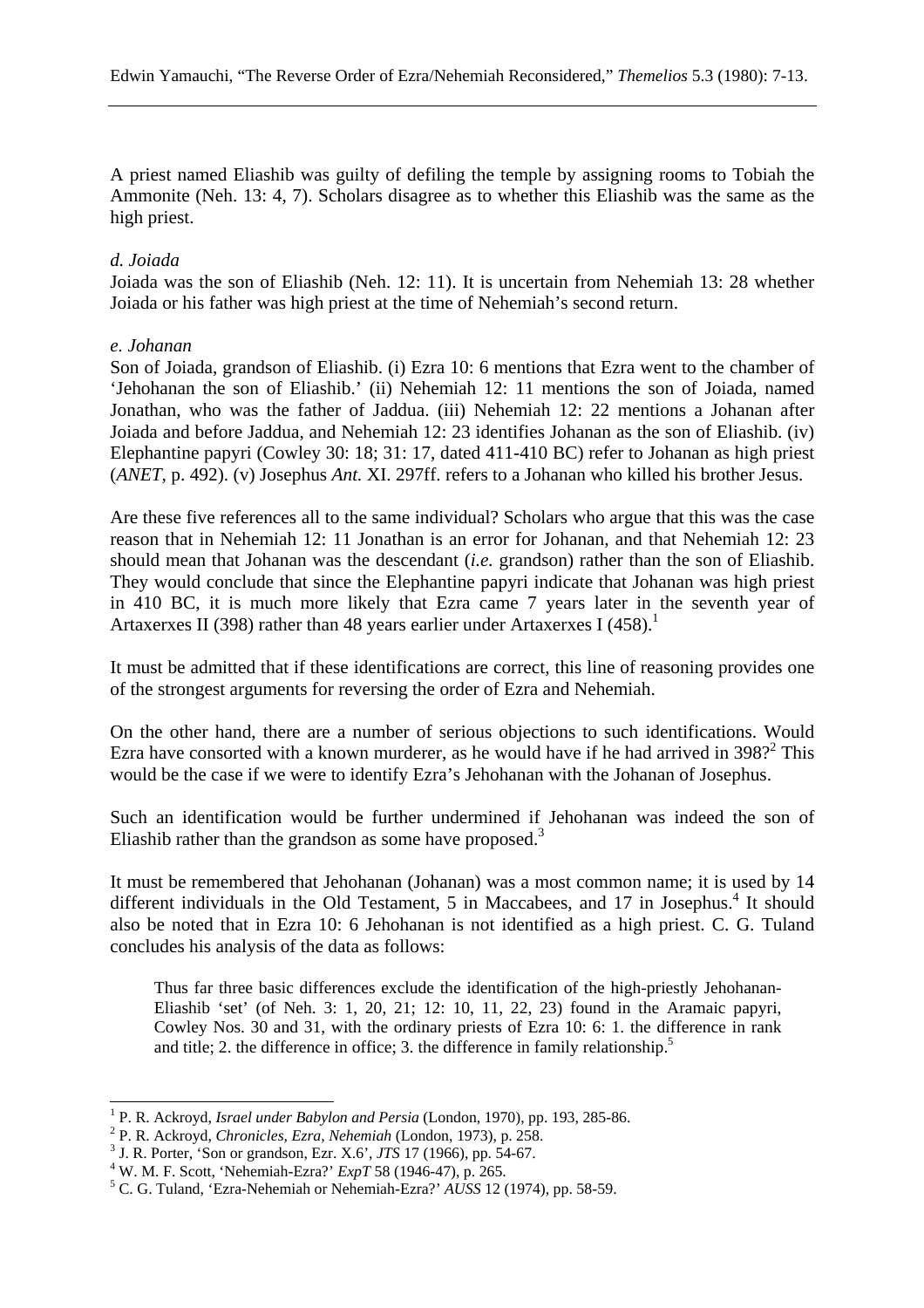A priest named Eliashib was guilty of defiling the temple by assigning rooms to Tobiah the Ammonite (Neh. 13: 4, 7). Scholars disagree as to whether this Eliashib was the same as the high priest.

#### *d. Joiada*

Joiada was the son of Eliashib (Neh. 12: 11). It is uncertain from Nehemiah 13: 28 whether Joiada or his father was high priest at the time of Nehemiah's second return.

#### *e. Johanan*

 $\overline{a}$ 

Son of Joiada, grandson of Eliashib. (i) Ezra 10: 6 mentions that Ezra went to the chamber of 'Jehohanan the son of Eliashib.' (ii) Nehemiah 12: 11 mentions the son of Joiada, named Jonathan, who was the father of Jaddua. (iii) Nehemiah 12: 22 mentions a Johanan after Joiada and before Jaddua, and Nehemiah 12: 23 identifies Johanan as the son of Eliashib. (iv) Elephantine papyri (Cowley 30: 18; 31: 17, dated 411-410 BC) refer to Johanan as high priest (*ANET,* p. 492). (v) Josephus *Ant.* XI. 297ff. refers to a Johanan who killed his brother Jesus.

Are these five references all to the same individual? Scholars who argue that this was the case reason that in Nehemiah 12: 11 Jonathan is an error for Johanan, and that Nehemiah 12: 23 should mean that Johanan was the descendant (*i.e.* grandson) rather than the son of Eliashib. They would conclude that since the Elephantine papyri indicate that Johanan was high priest in 410 BC, it is much more likely that Ezra came 7 years later in the seventh year of Artaxerxes II (398) rather than 48 years earlier under Artaxerxes I (458).

It must be admitted that if these identifications are correct, this line of reasoning provides one of the strongest arguments for reversing the order of Ezra and Nehemiah.

On the other hand, there are a number of serious objections to such identifications. Would Ezra have consorted with a known murderer, as he would have if he had arrived in  $398$ ? This would be the case if we were to identify Ezra's Jehohanan with the Johanan of Josephus.

Such an identification would be further undermined if Jehohanan was indeed the son of Eliashib rather than the grandson as some have proposed.<sup>3</sup>

It must be remembered that Jehohanan (Johanan) was a most common name; it is used by 14 different individuals in the Old Testament, 5 in Maccabees, and 17 in Josephus.<sup>4</sup> It should also be noted that in Ezra 10: 6 Jehohanan is not identified as a high priest. C. G. Tuland concludes his analysis of the data as follows:

Thus far three basic differences exclude the identification of the high-priestly Jehohanan-Eliashib 'set' (of Neh. 3: 1, 20, 21; 12: 10, 11, 22, 23) found in the Aramaic papyri, Cowley Nos. 30 and 31, with the ordinary priests of Ezra 10: 6: 1. the difference in rank and title; 2. the difference in office; 3. the difference in family relationship.<sup>5</sup>

<sup>&</sup>lt;sup>1</sup> P. R. Ackroyd, *Israel under Babylon and Persia* (London, 1970), pp. 193, 285-86.

P. R. Ackroyd, *Chronicles, Ezra, Nehemiah* (London, 1973), p. 258. <sup>3</sup>

<sup>&</sup>lt;sup>3</sup> J. R. Porter, 'Son or grandson, Ezr. X.6', *JTS* 17 (1966), pp. 54-67.

<sup>&</sup>lt;sup>4</sup> W. M. F. Scott, 'Nehemiah-Ezra?' *ExpT* 58 (1946-47), p. 265.

C. G. Tuland, 'Ezra-Nehemiah or Nehemiah-Ezra?' *AUSS* 12 (1974), pp. 58-59.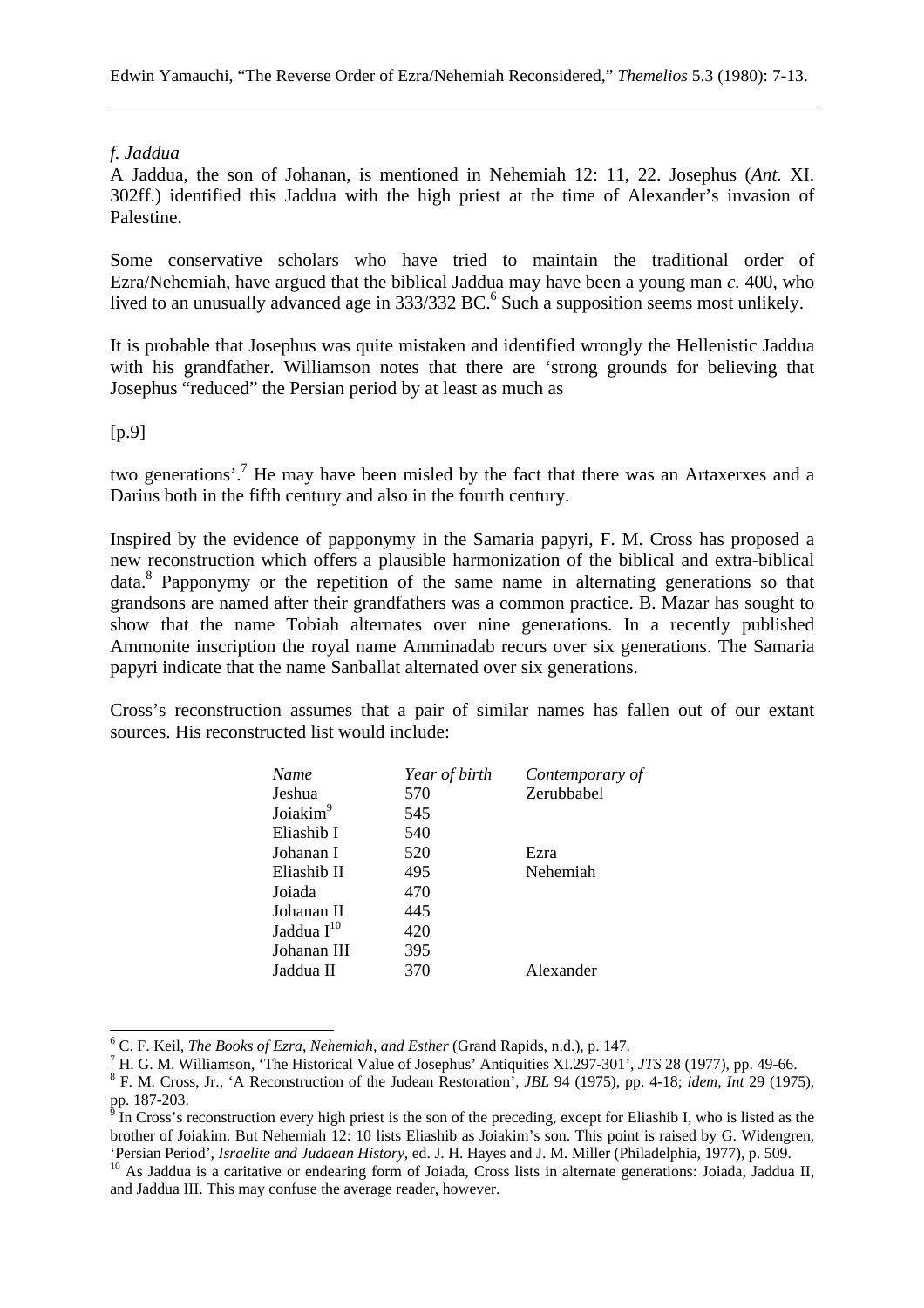## *f. Jaddua*

A Jaddua, the son of Johanan, is mentioned in Nehemiah 12: 11, 22. Josephus (*Ant.* XI. 302ff.) identified this Jaddua with the high priest at the time of Alexander's invasion of Palestine.

Some conservative scholars who have tried to maintain the traditional order of Ezra/Nehemiah, have argued that the biblical Jaddua may have been a young man *c.* 400, who lived to an unusually advanced age in 333/332 BC.<sup>6</sup> Such a supposition seems most unlikely.

It is probable that Josephus was quite mistaken and identified wrongly the Hellenistic Jaddua with his grandfather. Williamson notes that there are 'strong grounds for believing that Josephus "reduced" the Persian period by at least as much as

[p.9]

 $\overline{a}$ 

two generations'.<sup>7</sup> He may have been misled by the fact that there was an Artaxerxes and a Darius both in the fifth century and also in the fourth century.

Inspired by the evidence of papponymy in the Samaria papyri, F. M. Cross has proposed a new reconstruction which offers a plausible harmonization of the biblical and extra-biblical data.<sup>8</sup> Papponymy or the repetition of the same name in alternating generations so that grandsons are named after their grandfathers was a common practice. B. Mazar has sought to show that the name Tobiah alternates over nine generations. In a recently published Ammonite inscription the royal name Amminadab recurs over six generations. The Samaria papyri indicate that the name Sanballat alternated over six generations.

Cross's reconstruction assumes that a pair of similar names has fallen out of our extant sources. His reconstructed list would include:

| Name                 | Year of birth | Contemporary of |
|----------------------|---------------|-----------------|
| Jeshua               | 570           | Zerubbabel      |
| Joiakim <sup>9</sup> | 545           |                 |
| Eliashib I           | 540           |                 |
| Johanan I            | 520           | Ezra            |
| Eliashib II          | 495           | Nehemiah        |
| Joiada               | 470           |                 |
| Johanan II           | 445           |                 |
| Jaddua $I^{10}$      | 420           |                 |
| Johanan III          | 395           |                 |
| Jaddua II            |               | Alexander       |
|                      |               |                 |

<sup>&</sup>lt;sup>6</sup> C. F. Keil, *The Books of Ezra, Nehemiah, and Esther* (Grand Rapids, n.d.), p. 147.<br><sup>7</sup> H. G. M. Williamson, 'The Historiaal Value of Josephue' Antiquities XI 207, 201'

<sup>&</sup>lt;sup>7</sup> H. G. M. Williamson, 'The Historical Value of Josephus' Antiquities XI.297-301', *JTS* 28 (1977), pp. 49-66.

F. M. Cross, Jr., 'A Reconstruction of the Judean Restoration', *JBL* 94 (1975), pp. 4-18; *idem, Int* 29 (1975), pp. 187-203.<br><sup>9</sup> In Cross's 1

In Cross's reconstruction every high priest is the son of the preceding, except for Eliashib I, who is listed as the brother of Joiakim. But Nehemiah 12: 10 lists Eliashib as Joiakim's son. This point is raised by G. Widengren, 'Persian Period', *Israelite and Judaean History*, ed. J. H. Hayes and J. M. Miller (Philadelphia, 1977), p. 509.<br><sup>10</sup> As Jaddua is a caritative or endearing form of Joiada, Cross lists in alternate generations: Joiada, Ja

and Jaddua III. This may confuse the average reader, however.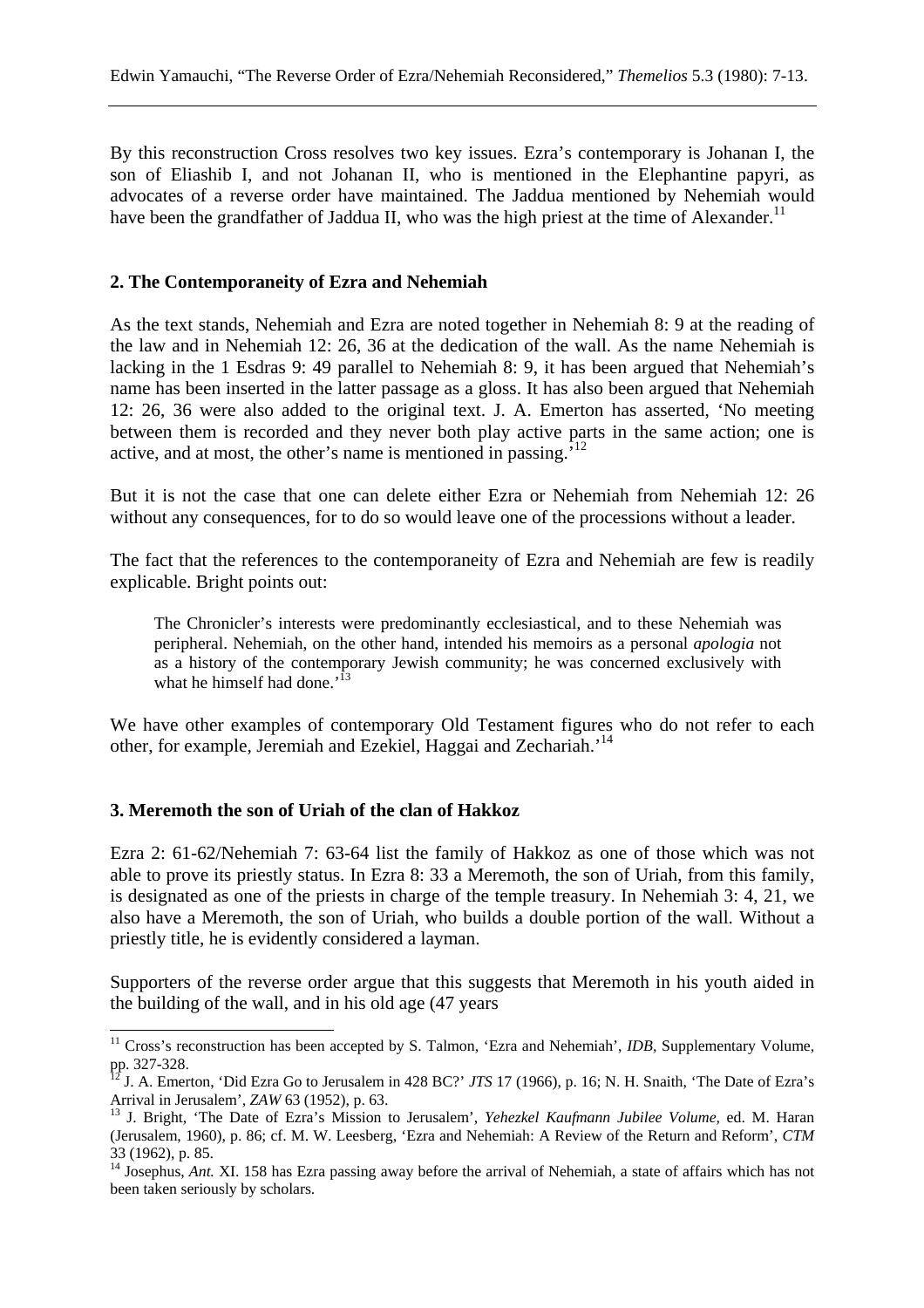By this reconstruction Cross resolves two key issues. Ezra's contemporary is Johanan I, the son of Eliashib I, and not Johanan II, who is mentioned in the Elephantine papyri, as advocates of a reverse order have maintained. The Jaddua mentioned by Nehemiah would have been the grandfather of Jaddua II, who was the high priest at the time of Alexander.<sup>11</sup>

#### **2. The Contemporaneity of Ezra and Nehemiah**

As the text stands, Nehemiah and Ezra are noted together in Nehemiah 8: 9 at the reading of the law and in Nehemiah 12: 26, 36 at the dedication of the wall. As the name Nehemiah is lacking in the 1 Esdras 9: 49 parallel to Nehemiah 8: 9, it has been argued that Nehemiah's name has been inserted in the latter passage as a gloss. It has also been argued that Nehemiah 12: 26, 36 were also added to the original text. J. A. Emerton has asserted, 'No meeting between them is recorded and they never both play active parts in the same action; one is active, and at most, the other's name is mentioned in passing.'12

But it is not the case that one can delete either Ezra or Nehemiah from Nehemiah 12: 26 without any consequences, for to do so would leave one of the processions without a leader.

The fact that the references to the contemporaneity of Ezra and Nehemiah are few is readily explicable. Bright points out:

The Chronicler's interests were predominantly ecclesiastical, and to these Nehemiah was peripheral. Nehemiah, on the other hand, intended his memoirs as a personal *apologia* not as a history of the contemporary Jewish community; he was concerned exclusively with what he himself had done.<sup>'13</sup>

We have other examples of contemporary Old Testament figures who do not refer to each other, for example, Jeremiah and Ezekiel, Haggai and Zechariah.'14

#### **3. Meremoth the son of Uriah of the clan of Hakkoz**

 $\overline{a}$ 

Ezra 2: 61-62/Nehemiah 7: 63-64 list the family of Hakkoz as one of those which was not able to prove its priestly status. In Ezra 8: 33 a Meremoth, the son of Uriah, from this family, is designated as one of the priests in charge of the temple treasury. In Nehemiah 3: 4, 21, we also have a Meremoth, the son of Uriah, who builds a double portion of the wall. Without a priestly title, he is evidently considered a layman.

Supporters of the reverse order argue that this suggests that Meremoth in his youth aided in the building of the wall, and in his old age (47 years

<sup>&</sup>lt;sup>11</sup> Cross's reconstruction has been accepted by S. Talmon, 'Ezra and Nehemiah', *IDB*, Supplementary Volume, pp. 327-328.

<sup>12</sup> J. A. Emerton, 'Did Ezra Go to Jerusalem in 428 BC?' *JTS* 17 (1966), p. 16; N. H. Snaith, 'The Date of Ezra's Arrival in Jerusalem', *ZAW* 63 (1952), p. 63.<br><sup>13</sup> J. Bright, 'The Date of Ezra's Mission to Jerusalem', *Yehezkel Kaufmann Jubilee Volume*, ed. M. Haran

<sup>(</sup>Jerusalem, 1960), p. 86; cf. M. W. Leesberg, 'Ezra and Nehemiah: A Review of the Return and Reform', *CTM* 33 (1962), p. 85.

<sup>&</sup>lt;sup>14</sup> Josephus, *Ant.* XI. 158 has Ezra passing away before the arrival of Nehemiah, a state of affairs which has not been taken seriously by scholars.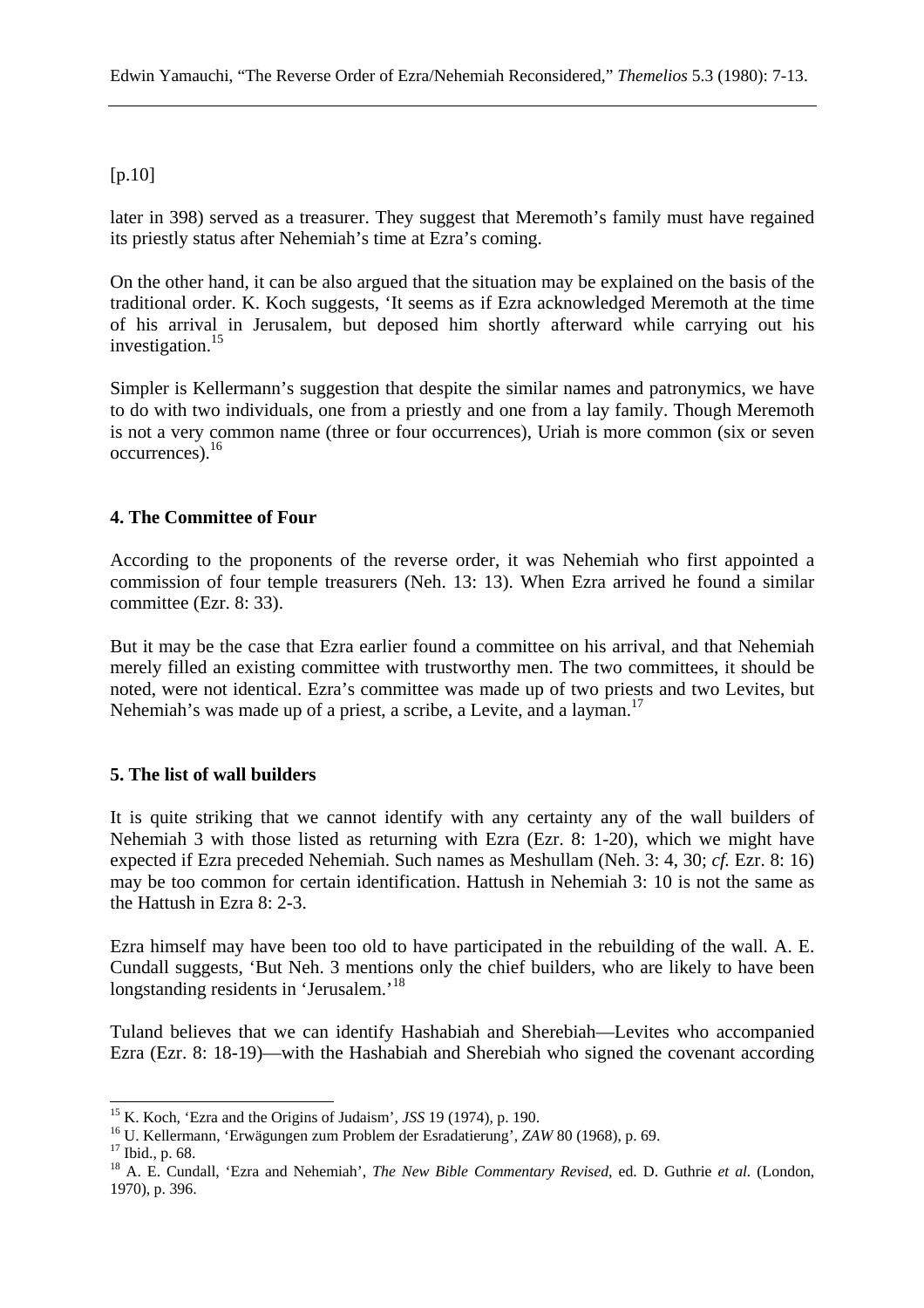# [p.10]

later in 398) served as a treasurer. They suggest that Meremoth's family must have regained its priestly status after Nehemiah's time at Ezra's coming.

On the other hand, it can be also argued that the situation may be explained on the basis of the traditional order. K. Koch suggests, 'It seems as if Ezra acknowledged Meremoth at the time of his arrival in Jerusalem, but deposed him shortly afterward while carrying out his investigation.<sup>15</sup>

Simpler is Kellermann's suggestion that despite the similar names and patronymics, we have to do with two individuals, one from a priestly and one from a lay family. Though Meremoth is not a very common name (three or four occurrences), Uriah is more common (six or seven occurrences).16

# **4. The Committee of Four**

According to the proponents of the reverse order, it was Nehemiah who first appointed a commission of four temple treasurers (Neh. 13: 13). When Ezra arrived he found a similar committee (Ezr. 8: 33).

But it may be the case that Ezra earlier found a committee on his arrival, and that Nehemiah merely filled an existing committee with trustworthy men. The two committees, it should be noted, were not identical. Ezra's committee was made up of two priests and two Levites, but Nehemiah's was made up of a priest, a scribe, a Levite, and a layman.<sup>17</sup>

# **5. The list of wall builders**

It is quite striking that we cannot identify with any certainty any of the wall builders of Nehemiah 3 with those listed as returning with Ezra (Ezr. 8: 1-20), which we might have expected if Ezra preceded Nehemiah. Such names as Meshullam (Neh. 3: 4, 30; *cf.* Ezr. 8: 16) may be too common for certain identification. Hattush in Nehemiah 3: 10 is not the same as the Hattush in Ezra 8: 2-3.

Ezra himself may have been too old to have participated in the rebuilding of the wall. A. E. Cundall suggests, 'But Neh. 3 mentions only the chief builders, who are likely to have been longstanding residents in 'Jerusalem.<sup>18</sup>

Tuland believes that we can identify Hashabiah and Sherebiah—Levites who accompanied Ezra (Ezr. 8: 18-19)—with the Hashabiah and Sherebiah who signed the covenant according

 $\overline{a}$ 

<sup>&</sup>lt;sup>15</sup> K. Koch, 'Ezra and the Origins of Judaism', *JSS* 19 (1974), p. 190.<br><sup>16</sup> U. Kellermann, 'Erwägungen zum Problem der Esradatierung', *ZAW* 80 (1968), p. 69.<br><sup>17</sup> Ibid., p. 68.

<sup>&</sup>lt;sup>18</sup> A. E. Cundall, 'Ezra and Nehemiah', *The New Bible Commentary Revised*, ed. D. Guthrie *et al.* (London, 1970), p. 396.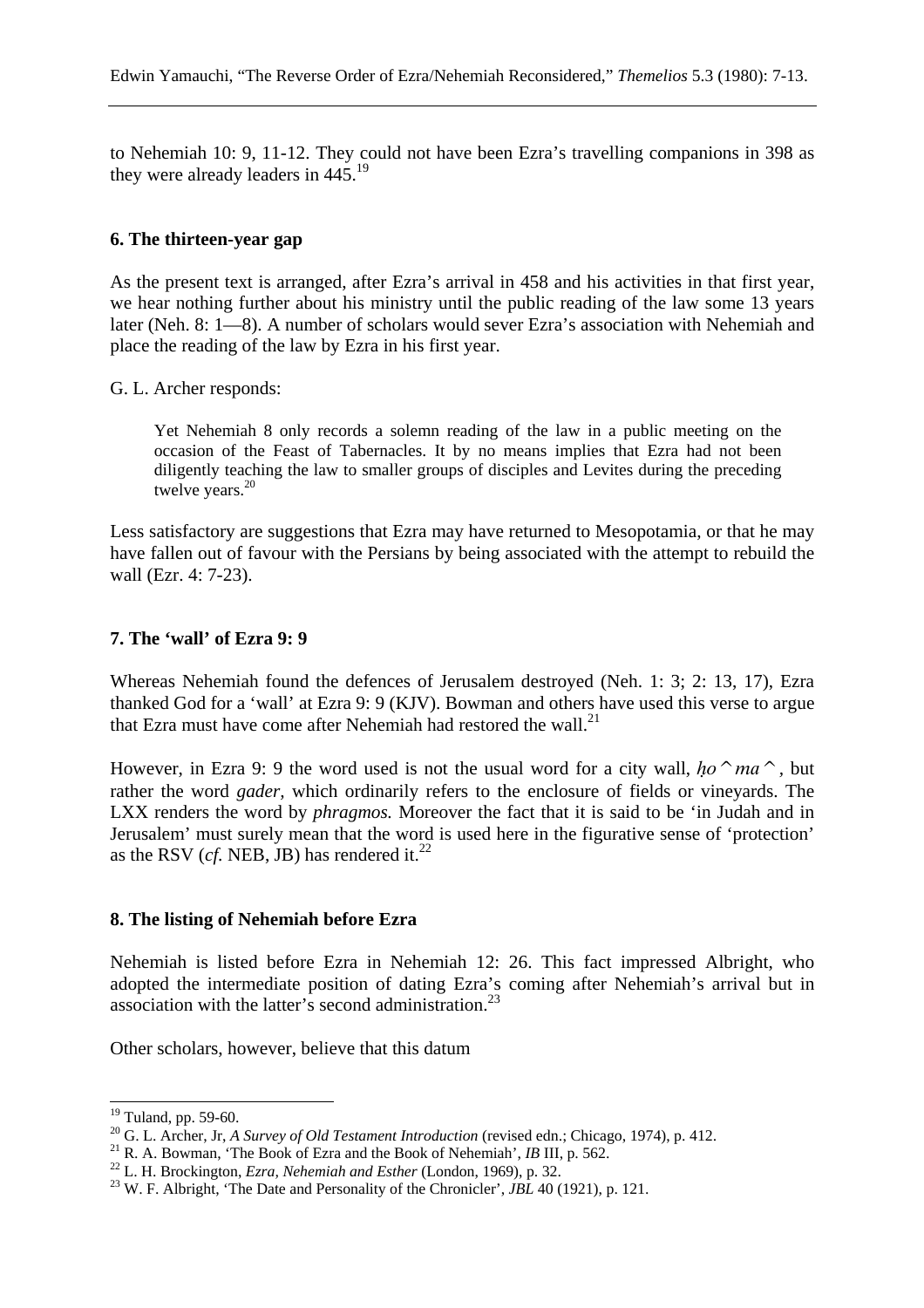to Nehemiah 10: 9, 11-12. They could not have been Ezra's travelling companions in 398 as they were already leaders in 445.<sup>19</sup>

## **6. The thirteen-year gap**

As the present text is arranged, after Ezra's arrival in 458 and his activities in that first year, we hear nothing further about his ministry until the public reading of the law some 13 years later (Neh. 8: 1—8). A number of scholars would sever Ezra's association with Nehemiah and place the reading of the law by Ezra in his first year.

G. L. Archer responds:

Yet Nehemiah 8 only records a solemn reading of the law in a public meeting on the occasion of the Feast of Tabernacles. It by no means implies that Ezra had not been diligently teaching the law to smaller groups of disciples and Levites during the preceding twelve years.<sup>20</sup>

Less satisfactory are suggestions that Ezra may have returned to Mesopotamia, or that he may have fallen out of favour with the Persians by being associated with the attempt to rebuild the wall (Ezr. 4: 7-23).

## **7. The 'wall' of Ezra 9: 9**

Whereas Nehemiah found the defences of Jerusalem destroyed (Neh. 1: 3; 2: 13, 17), Ezra thanked God for a 'wall' at Ezra 9: 9 (KJV). Bowman and others have used this verse to argue that Ezra must have come after Nehemiah had restored the wall. $^{21}$ 

However, in Ezra 9: 9 the word used is not the usual word for a city wall,  $ho^{\prime}$  ma<sup> $\prime$ </sup>, but rather the word *gader,* which ordinarily refers to the enclosure of fields or vineyards. The LXX renders the word by *phragmos.* Moreover the fact that it is said to be 'in Judah and in Jerusalem' must surely mean that the word is used here in the figurative sense of 'protection' as the RSV ( $cf.$  NEB, JB) has rendered it.<sup>22</sup>

# **8. The listing of Nehemiah before Ezra**

Nehemiah is listed before Ezra in Nehemiah 12: 26. This fact impressed Albright, who adopted the intermediate position of dating Ezra's coming after Nehemiah's arrival but in association with the latter's second administration.<sup>23</sup>

Other scholars, however, believe that this datum

 $\overline{a}$ 

 $19$  Tuland, pp. 59-60.

<sup>&</sup>lt;sup>20</sup> G. L. Archer, Jr, *A Survey of Old Testament Introduction* (revised edn.; Chicago, 1974), p. 412.<br><sup>21</sup> R. A. Bowman, 'The Book of Ezra and the Book of Nehemiah', *IB* III, p. 562.<br><sup>22</sup> L. H. Brockington, *Ezra, Nehem*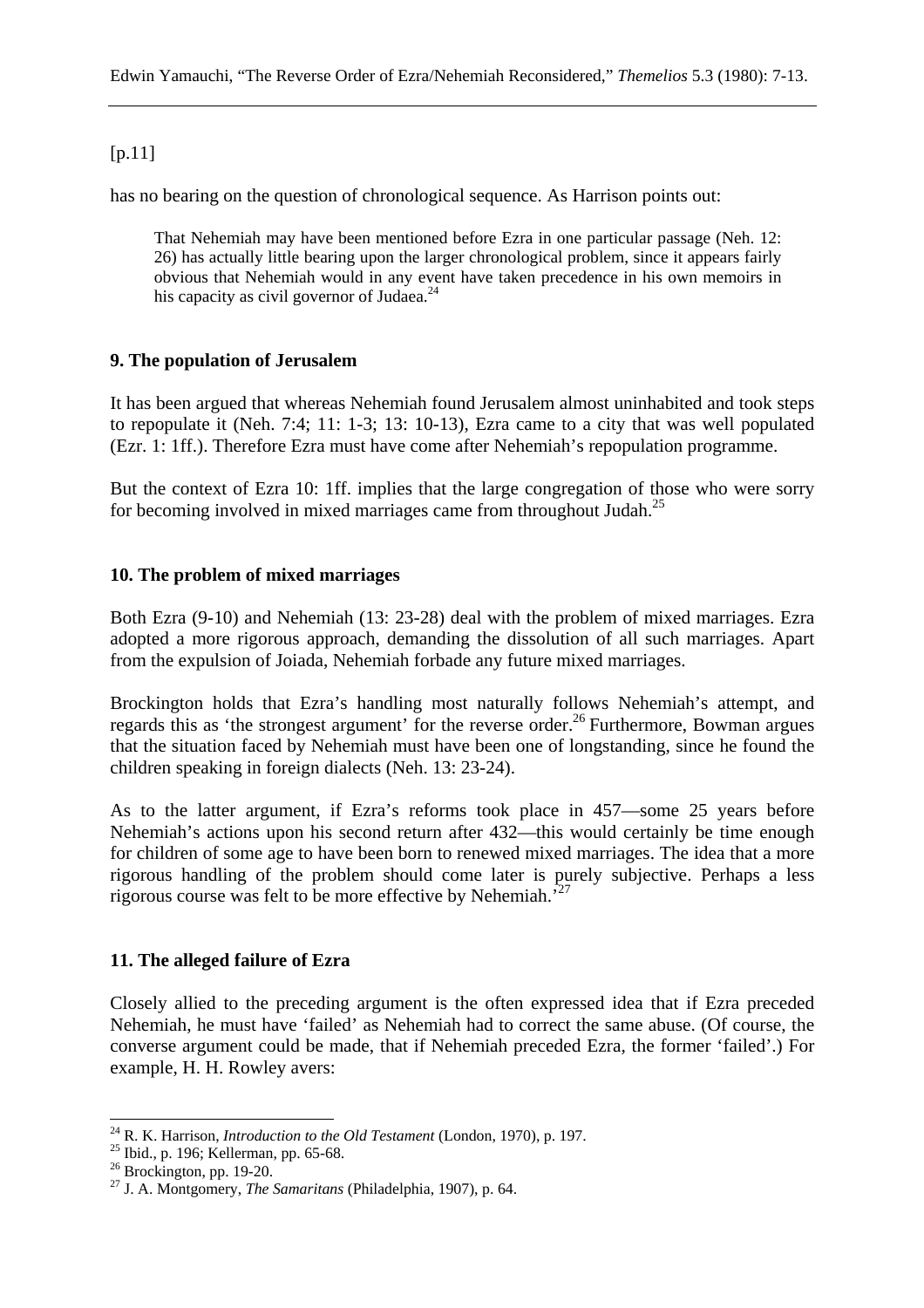# [p.11]

has no bearing on the question of chronological sequence. As Harrison points out:

That Nehemiah may have been mentioned before Ezra in one particular passage (Neh. 12: 26) has actually little bearing upon the larger chronological problem, since it appears fairly obvious that Nehemiah would in any event have taken precedence in his own memoirs in his capacity as civil governor of Judaea.<sup>24</sup>

# **9. The population of Jerusalem**

It has been argued that whereas Nehemiah found Jerusalem almost uninhabited and took steps to repopulate it (Neh. 7:4; 11: 1-3; 13: 10-13), Ezra came to a city that was well populated (Ezr. 1: 1ff.). Therefore Ezra must have come after Nehemiah's repopulation programme.

But the context of Ezra 10: 1ff. implies that the large congregation of those who were sorry for becoming involved in mixed marriages came from throughout Judah.25

## **10. The problem of mixed marriages**

Both Ezra (9-10) and Nehemiah (13: 23-28) deal with the problem of mixed marriages. Ezra adopted a more rigorous approach, demanding the dissolution of all such marriages. Apart from the expulsion of Joiada, Nehemiah forbade any future mixed marriages.

Brockington holds that Ezra's handling most naturally follows Nehemiah's attempt, and regards this as 'the strongest argument' for the reverse order.<sup>26</sup> Furthermore, Bowman argues that the situation faced by Nehemiah must have been one of longstanding, since he found the children speaking in foreign dialects (Neh. 13: 23-24).

As to the latter argument, if Ezra's reforms took place in 457—some 25 years before Nehemiah's actions upon his second return after 432—this would certainly be time enough for children of some age to have been born to renewed mixed marriages. The idea that a more rigorous handling of the problem should come later is purely subjective. Perhaps a less rigorous course was felt to be more effective by Nehemiah.'<sup>27</sup>

# **11. The alleged failure of Ezra**

Closely allied to the preceding argument is the often expressed idea that if Ezra preceded Nehemiah, he must have 'failed' as Nehemiah had to correct the same abuse. (Of course, the converse argument could be made, that if Nehemiah preceded Ezra, the former 'failed'.) For example, H. H. Rowley avers:

 $\overline{a}$ <sup>24</sup> R. K. Harrison, *Introduction to the Old Testament* (London, 1970), p. 197.<br><sup>25</sup> Ibid., p. 196; Kellerman, pp. 65-68.

<sup>&</sup>lt;sup>25</sup> Ibid., p. 196; Kellerman, pp. 65-68.<br><sup>26</sup> Brockington, pp. 19-20.

<sup>27</sup> J. A. Montgomery, *The Samaritans* (Philadelphia, 1907), p. 64.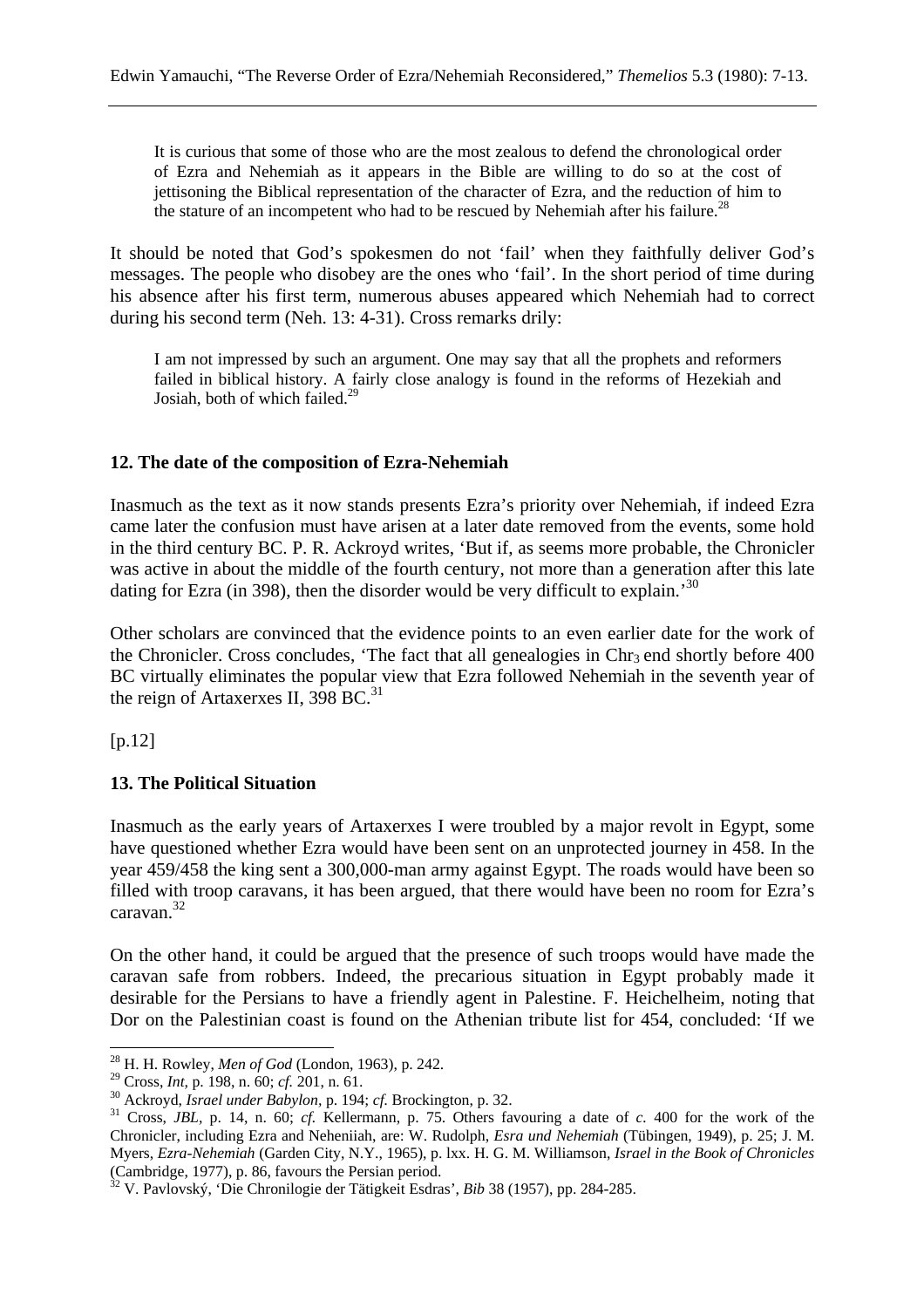It is curious that some of those who are the most zealous to defend the chronological order of Ezra and Nehemiah as it appears in the Bible are willing to do so at the cost of jettisoning the Biblical representation of the character of Ezra, and the reduction of him to the stature of an incompetent who had to be rescued by Nehemiah after his failure.<sup>28</sup>

It should be noted that God's spokesmen do not 'fail' when they faithfully deliver God's messages. The people who disobey are the ones who 'fail'. In the short period of time during his absence after his first term, numerous abuses appeared which Nehemiah had to correct during his second term (Neh. 13: 4-31). Cross remarks drily:

I am not impressed by such an argument. One may say that all the prophets and reformers failed in biblical history. A fairly close analogy is found in the reforms of Hezekiah and Josiah, both of which failed.<sup>29</sup>

## **12. The date of the composition of Ezra-Nehemiah**

Inasmuch as the text as it now stands presents Ezra's priority over Nehemiah, if indeed Ezra came later the confusion must have arisen at a later date removed from the events, some hold in the third century BC. P. R. Ackroyd writes, 'But if, as seems more probable, the Chronicler was active in about the middle of the fourth century, not more than a generation after this late dating for Ezra (in 398), then the disorder would be very difficult to explain.<sup>30</sup>

Other scholars are convinced that the evidence points to an even earlier date for the work of the Chronicler. Cross concludes, 'The fact that all genealogies in  $\text{Chr}_3$  end shortly before 400 BC virtually eliminates the popular view that Ezra followed Nehemiah in the seventh year of the reign of Artaxerxes II,  $398$  BC.<sup>31</sup>

 $[p.12]$ 

 $\overline{a}$ 

## **13. The Political Situation**

Inasmuch as the early years of Artaxerxes I were troubled by a major revolt in Egypt, some have questioned whether Ezra would have been sent on an unprotected journey in 458*.* In the year 459/458 the king sent a 300,000-man army against Egypt. The roads would have been so filled with troop caravans, it has been argued, that there would have been no room for Ezra's caravan.32

On the other hand, it could be argued that the presence of such troops would have made the caravan safe from robbers. Indeed, the precarious situation in Egypt probably made it desirable for the Persians to have a friendly agent in Palestine. F. Heichelheim, noting that Dor on the Palestinian coast is found on the Athenian tribute list for 454, concluded: 'If we

<sup>&</sup>lt;sup>28</sup> H. H. Rowley, *Men of God* (London, 1963), p. 242.<br><sup>29</sup> Cross, *Int*, p. 198, n. 60; *cf*. 201, n. 61.

<sup>&</sup>lt;sup>30</sup> Ackroyd, *Israel under Babylon*, p. 194; *cf.* Brockington, p. 32.<br><sup>31</sup> Cross, *JBL*, p. 14, n. 60; *cf.* Kellermann, p. 75. Others favouring a date of *c*. 400 for the work of the Chronicler, including Ezra and Neheniiah, are: W. Rudolph, *Esra und Nehemiah* (Tübingen, 1949), p. 25; J. M. Myers, *Ezra-Nehemiah* (Garden City, N.Y., 1965), p. lxx. H. G. M. Williamson, *Israel in the Book of Chronicles* (Cambridge, 1977), p. 86, favours the Persian period.

<sup>32</sup> V. Pavlovský, 'Die Chronilogie der Tätigkeit Esdras', *Bib* 38 (1957), pp. 284-285.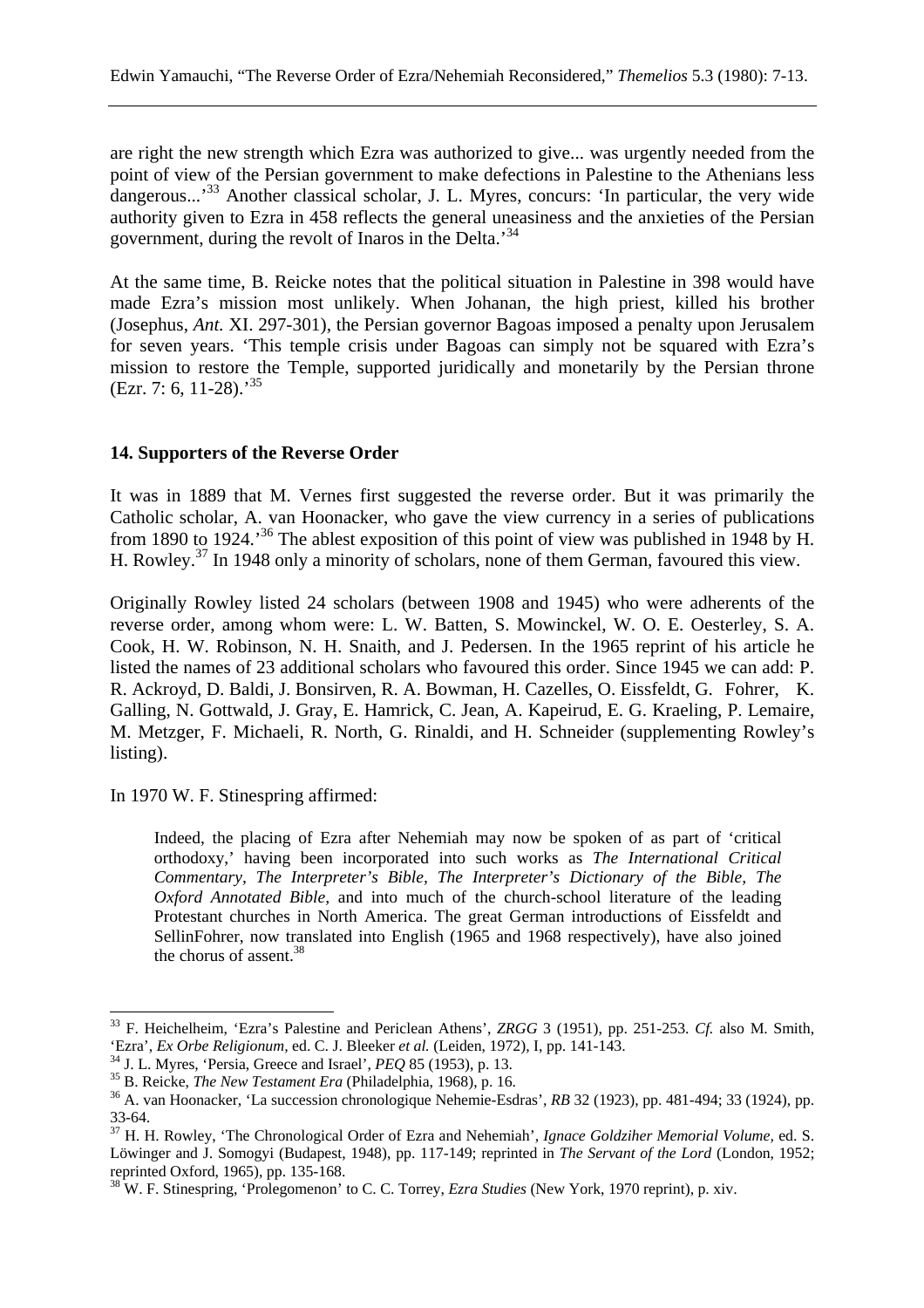are right the new strength which Ezra was authorized to give... was urgently needed from the point of view of the Persian government to make defections in Palestine to the Athenians less dangerous...<sup>33</sup> Another classical scholar, J. L. Myres, concurs: 'In particular, the very wide authority given to Ezra in 458 reflects the general uneasiness and the anxieties of the Persian government, during the revolt of Inaros in the Delta.'34

At the same time, B. Reicke notes that the political situation in Palestine in 398 would have made Ezra's mission most unlikely. When Johanan, the high priest, killed his brother (Josephus, *Ant.* XI. 297-301), the Persian governor Bagoas imposed a penalty upon Jerusalem for seven years. 'This temple crisis under Bagoas can simply not be squared with Ezra's mission to restore the Temple, supported juridically and monetarily by the Persian throne  $(Ezr. 7: 6, 11-28).^{35}$ 

## **14. Supporters of the Reverse Order**

It was in 1889 that M. Vernes first suggested the reverse order. But it was primarily the Catholic scholar, A. van Hoonacker, who gave the view currency in a series of publications from 1890 to 1924.'36 The ablest exposition of this point of view was published in 1948 by H. H. Rowley.37 In 1948 only a minority of scholars, none of them German, favoured this view.

Originally Rowley listed 24 scholars (between 1908 and 1945) who were adherents of the reverse order, among whom were: L. W. Batten, S. Mowinckel, W. O. E. Oesterley, S. A. Cook, H. W. Robinson, N. H. Snaith, and J. Pedersen. In the 1965 reprint of his article he listed the names of 23 additional scholars who favoured this order. Since 1945 we can add: P. R. Ackroyd, D. Baldi, J. Bonsirven, R. A. Bowman, H. Cazelles, O. Eissfeldt, G. Fohrer, K. Galling, N. Gottwald, J. Gray, E. Hamrick, C. Jean, A. Kapeirud, E. G. Kraeling, P. Lemaire, M. Metzger, F. Michaeli, R. North, G. Rinaldi, and H. Schneider (supplementing Rowley's listing).

In 1970 W. F. Stinespring affirmed:

 $\overline{a}$ 

Indeed, the placing of Ezra after Nehemiah may now be spoken of as part of 'critical orthodoxy,' having been incorporated into such works as *The International Critical Commentary, The Interpreter's Bible, The Interpreter's Dictionary of the Bible, The Oxford Annotated Bible,* and into much of the church-school literature of the leading Protestant churches in North America. The great German introductions of Eissfeldt and SellinFohrer, now translated into English (1965 and 1968 respectively), have also joined the chorus of assent.<sup>38</sup>

<sup>33</sup> F. Heichelheim, 'Ezra's Palestine and Periclean Athens', *ZRGG* 3 (1951), pp. 251-253. *Cf.* also M. Smith, 'Ezra', *Ex Orbe Religionum*, ed. C. J. Bleeker *et al.* (Leiden, 1972), I, pp. 141-143.<br><sup>34</sup> J. L. Myres, 'Persia, Greece and Israel', *PEQ* 85 (1953), p. 13.<br><sup>35</sup> B. Reicke, *The New Testament Era* (Philadelphia, 1968),

<sup>33-64.</sup>

<sup>37</sup> H. H. Rowley, 'The Chronological Order of Ezra and Nehemiah', *Ignace Goldziher Memorial Volume,* ed. S. Löwinger and J. Somogyi (Budapest, 1948), pp. 117-149; reprinted in *The Servant of the Lord* (London, 1952; reprinted Oxford, 1965), pp. 135-168.

<sup>38</sup> W. F. Stinespring, 'Prolegomenon' to C. C. Torrey, *Ezra Studies* (New York, 1970 reprint), p. xiv.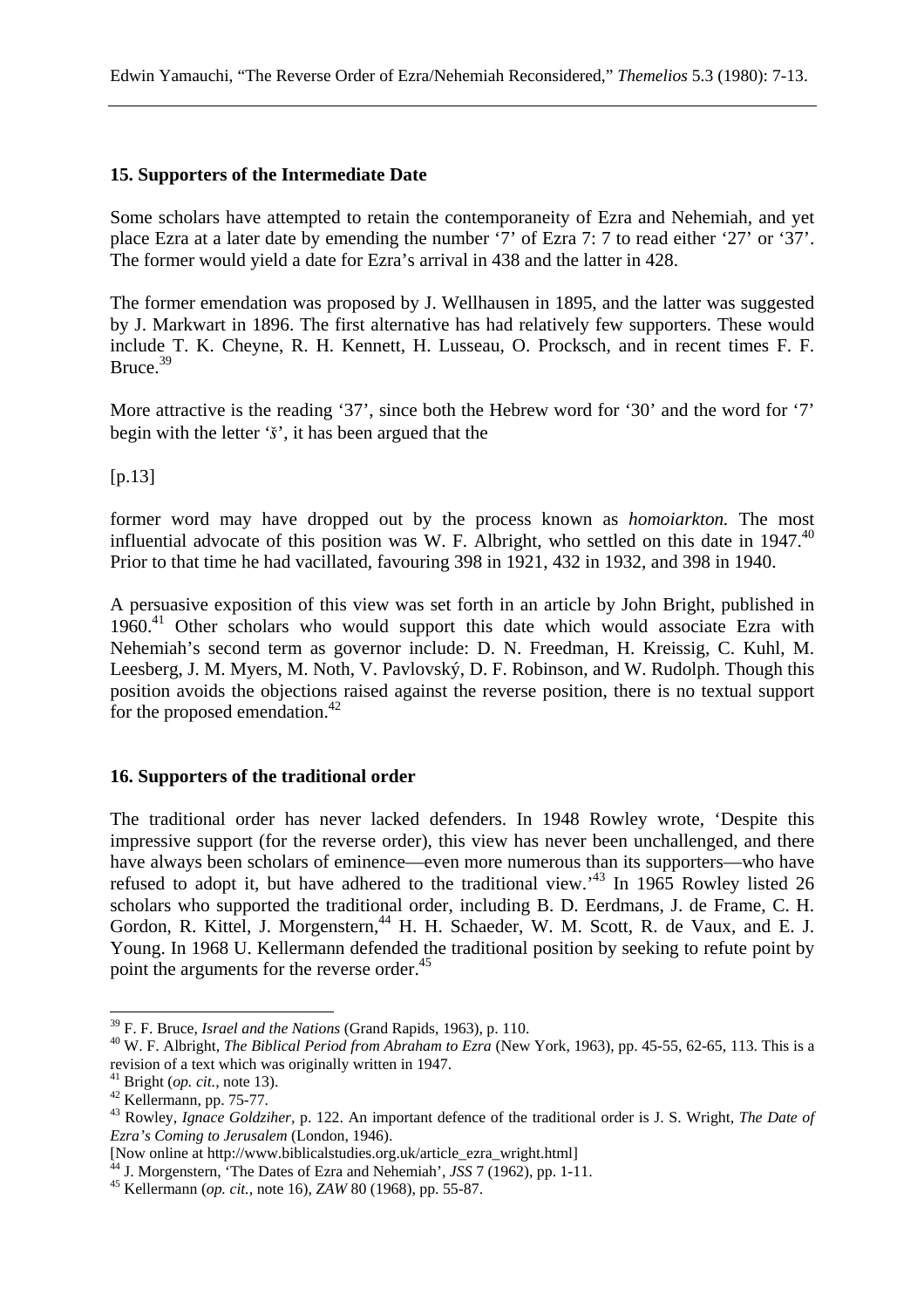# **15. Supporters of the Intermediate Date**

Some scholars have attempted to retain the contemporaneity of Ezra and Nehemiah, and yet place Ezra at a later date by emending the number '7' of Ezra 7: 7 to read either '27' or '37'. The former would yield a date for Ezra's arrival in 438 and the latter in 428.

The former emendation was proposed by J. Wellhausen in 1895, and the latter was suggested by J. Markwart in 1896. The first alternative has had relatively few supporters. These would include T. K. Cheyne, R. H. Kennett, H. Lusseau, O. Procksch, and in recent times F. F. Bruce.39

More attractive is the reading '37', since both the Hebrew word for '30' and the word for '7' begin with the letter  $\check{s}$ , it has been argued that the

 $[p.13]$ 

former word may have dropped out by the process known as *homoiarkton.* The most influential advocate of this position was W. F. Albright, who settled on this date in  $1947$ .<sup>40</sup> Prior to that time he had vacillated, favouring 398 in 1921, 432 in 1932, and 398 in 1940.

A persuasive exposition of this view was set forth in an article by John Bright, published in 1960.<sup>41</sup> Other scholars who would support this date which would associate Ezra with Nehemiah's second term as governor include: D. N. Freedman, H. Kreissig, C. Kuhl, M. Leesberg, J. M. Myers, M. Noth, V. Pavlovský, D. F. Robinson, and W. Rudolph. Though this position avoids the objections raised against the reverse position, there is no textual support for the proposed emendation.<sup>42</sup>

## **16. Supporters of the traditional order**

The traditional order has never lacked defenders. In 1948 Rowley wrote, 'Despite this impressive support (for the reverse order), this view has never been unchallenged, and there have always been scholars of eminence—even more numerous than its supporters—who have refused to adopt it, but have adhered to the traditional view.<sup> $43$ </sup> In 1965 Rowley listed 26 scholars who supported the traditional order, including B. D. Eerdmans, J. de Frame, C. H. Gordon, R. Kittel, J. Morgenstern, <sup>44</sup> H. H. Schaeder, W. M. Scott, R. de Vaux, and E. J. Young. In 1968 U. Kellermann defended the traditional position by seeking to refute point by point the arguments for the reverse order.<sup>45</sup>

<sup>&</sup>lt;sup>39</sup> F. F. Bruce, *Israel and the Nations* (Grand Rapids, 1963), p. 110.

<sup>&</sup>lt;sup>40</sup> W. F. Albright, *The Biblical Period from Abraham to Ezra* (New York, 1963), pp. 45-55, 62-65, 113. This is a revision of a text which was originally written in 1947.<br><sup>41</sup> Bright (op. cit., note 13).

<sup>41</sup> Bright (*op. cit.,* note 13). 42 Kellermann, pp. 75-77.

<sup>43</sup> Rowley, *Ignace Goldziher,* p. 122. An important defence of the traditional order is J. S. Wright, *The Date of Ezra's Coming to Jerusalem* (London, 1946).

<sup>[</sup>Now online at [http://www.biblicalstudies.org.uk/article\\_ezra\\_wright.html\]](http://www.biblicalstudies.org.uk/article_ezra_wright.html)

<sup>&</sup>lt;sup>44</sup> J. Morgenstern, 'The Dates of Ezra and Nehemiah', *JSS* 7 (1962), pp. 1-11.<br><sup>45</sup> Kellermann (*op. cit.*, note 16), *ZAW* 80 (1968), pp. 55-87.